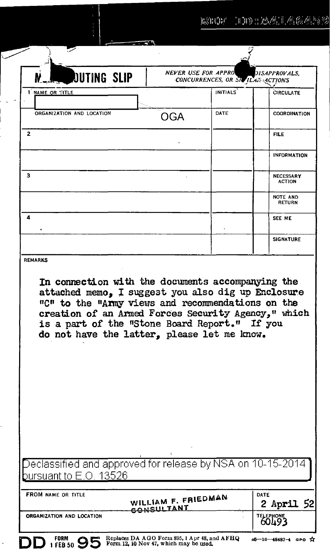| <b>DUTING SLIP</b>                                                                                                                                                                                                                                             | <b>NEVER USE FOR APPROV</b><br>CONCURRENCES, OR SIGHLAR ACTIONS | DISAPPROVALS.                                     |
|----------------------------------------------------------------------------------------------------------------------------------------------------------------------------------------------------------------------------------------------------------------|-----------------------------------------------------------------|---------------------------------------------------|
| <b>1 NAME OR TITLE</b>                                                                                                                                                                                                                                         | <b>INITIALS</b>                                                 | <b>CIRCULATE</b>                                  |
| ORGANIZATION AND LOCATION                                                                                                                                                                                                                                      | DATE<br><b>OGA</b>                                              | COORDINATION                                      |
| $\mathbf{z}$                                                                                                                                                                                                                                                   |                                                                 | <b>FILE</b>                                       |
|                                                                                                                                                                                                                                                                |                                                                 | <b>INFORMATION</b>                                |
| 3                                                                                                                                                                                                                                                              |                                                                 | <b>NECESSARY</b><br><b>ACTION</b>                 |
|                                                                                                                                                                                                                                                                |                                                                 | NOTE AND<br><b>RETURN</b>                         |
| 4                                                                                                                                                                                                                                                              |                                                                 | SEE ME                                            |
|                                                                                                                                                                                                                                                                |                                                                 | <b>SIGNATURE</b>                                  |
| attached memo, I suggest you also dig up Enclosure<br>"C" to the "Army views and recommendations on the<br>creation of an Armed Forces Security Agency," which<br>is a part of the "Stone Board Report." If you<br>do not have the latter, please let me know. |                                                                 | In connection with the documents accompanying the |
|                                                                                                                                                                                                                                                                |                                                                 |                                                   |
| Declassified and approved for release by NSA on 10-15-2014<br>ursuant to $\mathsf{E}.\mathsf{O}$ , 13526                                                                                                                                                       |                                                                 |                                                   |
| FROM NAME OR TITLE<br>CONSULTANT                                                                                                                                                                                                                               | WILLIAM F. FRIEDMAN                                             | DATE<br>2 Ap <b>ril</b> 52                        |

 $\subset$ 

 $\ddot{\phantom{0}}$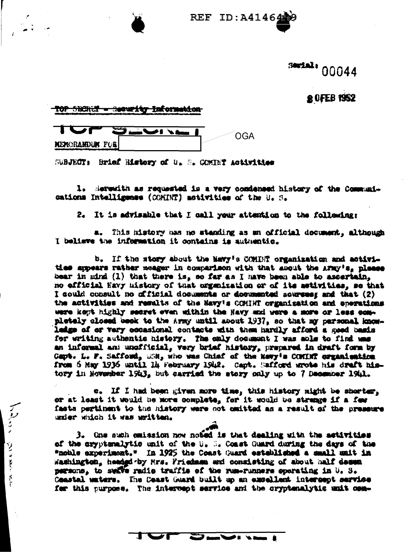**REF ID: A41464** 

## serial: 00044

## **20FEB 1952**

TOP SECRIC - Security Information

医学

医血压

 $\frac{5}{1}$ 

| <b>NEWCRANDUM FOR</b> |  |  |  |
|-----------------------|--|--|--|

SUBJECT: Brief History of U. S. COMINT Activities

1. Serentth as requested is a very condensed history of the Communications Intelligence (COMINT) activities of the U.S.

2. It is advisable that I call your attention to the following:

a. This history has no standing as an official document, although I believe the information it contains is authentic.

b. If the story about the Mavy's COMINT organization and activities appears rather meager in comparison with that about the AFMy's, please bear in mind (1) that there is, so far as I have been able to ascertain, no efficial Havy mistory of that organization or of its astivities, se that I could consult no official documents or documented sources; and that (2) the activities and results of the Navy's COMIRT organization and enerations were kept highly secret even within the Navy and yere a more or less completely closed beek to the Army until about 1937, so that my personal knowladge of or vary occasional contacts with them hardly afford a good basis for writing authentic history. The only document I was able to find was an informal and unofficial, very brief history, prepared in draft form by Capt. L. F. Safford, USM, who was Chief of the Newy's COMINT creamination from 6 May 1936 until 14 February 1942. Capt. Safford wrote his draft history in November 1943, but carried the story only up to 7 December 1941.

c. If I had been given more time, this history might be shorter, or at least it would be more complete, for it would be strange if a few fasts pertinent to the history were not omitted as a result of the presence under which it was uritten.

3. One such emission now noted is that dealing with the activities of the sryptemalytic unit of the U. S. Coast Guard during the days of the "noble experiment." In 1925 the Coast Guard esteblished a small unit in Washington, headed by Mrs. Friedman and consisting of about half dessen persons, to sekve radio traffis of the rum-runners operating in U. S. Ceastal waters. The Coast Guard built up an excellent intercept service for this purpose. The intercept service and the cryptenalytic anit com-

Service Co